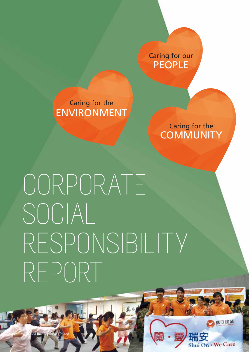PEOPLE Caring for our

**ENVIRONMENT** Caring for the

> Caring for the **COMMUNITY**

> > 新安建業

Shui On . We Care

CORPORATE SOCIAL RESPONSIBILITY REPORT

42 SOCAM Development Limited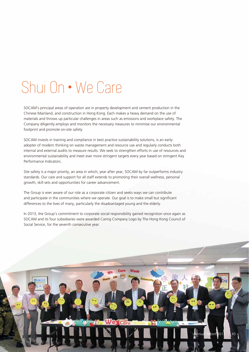# Shui On • We Care

SOCAM's principal areas of operation are in property development and cement production in the Chinese Mainland, and construction in Hong Kong. Each makes a heavy demand on the use of materials and throws up particular challenges in areas such as emissions and workplace safety. The Company diligently employs and monitors the necessary measures to minimise our environmental footprint and promote on-site safety.

SOCAM invests in training and compliance in best practice sustainability solutions, is an earlyadopter of modern thinking on waste management and resource use and regularly conducts both internal and external audits to measure results. We seek to strengthen efforts in use of resources and environmental sustainability and meet ever more stringent targets every year based on stringent Key Performance Indicators.

Site safety is a major priority, an area in which, year after year, SOCAM by far outperforms industry standards. Our care and support for all staff extends to promoting their overall wellness, personal growth, skill sets and opportunities for career advancement.

The Group is ever aware of our role as a corporate citizen and seeks ways we can contribute and participate in the communities where we operate. Our goal is to make small but significant differences to the lives of many, particularly the disadvantaged young and the elderly.

In 2013, the Group's commitment to corporate social responsibility gained recognition once again as SOCAM and its four subsidiaries were awarded Caring Company Logo by The Hong Kong Council of Social Service, for the seventh consecutive year.

> ш n.  $Q_{\overline{1}}$

> > $\sqrt{2013}$  43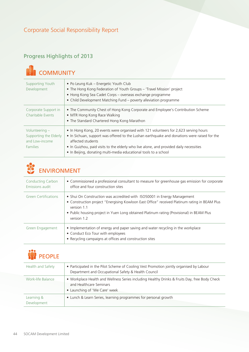# Progress Highlights of 2013



| <b>Supporting Youth</b><br>Development                                          | • Po Leung Kuk – Energetic Youth Club<br>• The Hong Kong Federation of Youth Groups - 'Travel Mission' project<br>• Hong Kong Sea Cadet Corps - overseas exchange programme<br>• Child Development Matching Fund - poverty alleviation programme                                                                                                                         |
|---------------------------------------------------------------------------------|--------------------------------------------------------------------------------------------------------------------------------------------------------------------------------------------------------------------------------------------------------------------------------------------------------------------------------------------------------------------------|
| Corporate Support in<br><b>Charitable Events</b>                                | • The Community Chest of Hong Kong Corporate and Employee's Contribution Scheme<br>• MTR Hong Kong Race Walking<br>• The Standard Chartered Hong Kong Marathon                                                                                                                                                                                                           |
| Volunteering $-$<br>Supporting the Elderly<br>and Low-income<br><b>Families</b> | • In Hong Kong, 20 events were organised with 121 volunteers for 2,623 serving hours<br>• In Sichuan, support was offered to the Lushan earthquake and donations were raised for the<br>affected students<br>• In Guizhou, paid visits to the elderly who live alone, and provided daily necessities<br>• In Beijing, donating multi-media educational tools to a school |



| <b>Conducting Carbon</b><br>Emissions audit | • Commissioned a professional consultant to measure for greenhouse gas emission for corporate<br>office and four construction sites                                                                                                                                                                  |
|---------------------------------------------|------------------------------------------------------------------------------------------------------------------------------------------------------------------------------------------------------------------------------------------------------------------------------------------------------|
| <b>Green Certifications</b>                 | • Shui On Construction was accredited with ISO50001 in Energy Management<br>• Construction project "Energising Kowloon East Office" received Platinum rating in BEAM Plus<br>version 1.1<br>• Public housing project in Yuen Long obtained Platinum rating (Provisional) in BEAM Plus<br>version 1.2 |
| Green Engagement                            | • Implementation of energy and paper saving and water recycling in the workplace<br>• Conduct Eco Tour with employees<br>• Recycling campaigns at offices and construction sites                                                                                                                     |



| Health and Safety         | • Participated in the Pilot Scheme of Cooling Vest Promotion jointly organised by Labour<br>Department and Occupational Safety & Health Council           |
|---------------------------|-----------------------------------------------------------------------------------------------------------------------------------------------------------|
| Work-life Balance         | . Workplace Health and Wellness Series including Healthy Drinks & Fruits Day, free Body Check<br>and Healthcare Seminars<br>• Launching of 'We Care' week |
| Learning &<br>Development | • Lunch & Learn Series, learning programmes for personal growth                                                                                           |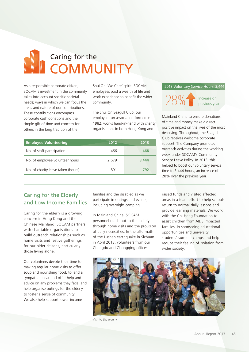# Caring for the **COMMUNITY**

As a responsible corporate citizen, SOCAM's investment in the community takes into account specific societal needs; ways in which we can focus the areas and nature of our contributions. These contributions encompass corporate cash donations and the simple gift of time and concern for others in the long tradition of the

Shui On 'We Care' spirit. SOCAM<br>employees pool a wealth of life ar<br>work experience to benefit the wii<br>community.<br>The Shui On Seagull Club, our<br>employee-run association formed<br>1982, works hand-in-hand with ch<br>organisations employees pool a wealth of life and work experience to benefit the wider community.

The Shui On Seagull Club, our employee-run association formed in 1982, works hand-in-hand with charity organisations in both Hong Kong and

| <b>Employee Volunteering</b>       | 2012  | 2013  |
|------------------------------------|-------|-------|
| No. of staff participation         | 466   | 468   |
| No. of employee volunteer hours    | 2.679 | 3.444 |
| No. of charity leave taken (hours) | 891   | 792   |
|                                    |       |       |

#### 2013 Voluntary Service Hours: 3,444



Increase on<br>previous year

Mainland China to ensure donations of time and money make a direct positive impact on the lives of the most deserving. Throughout, the Seagull Club receives welcome corporate support. The Company promotes outreach activities during the working week under SOCAM's Community Service Leave Policy. In 2013, this helped to boost our voluntary service time to 3,444 hours, an increase of 28% over the previous year.

# Caring for the Elderly and Low Income Families

Caring for the elderly is a growing concern in Hong Kong and the Chinese Mainland. SOCAM partners with charitable organisations to build outreach relationships such as home visits and festive gatherings for our older citizens, particularly those living alone.

Our volunteers devote their time to making regular home visits to offer soup and nourishing food, to lend a sympathetic ear and offer help and advice on any problems they face, and help organise outings for the elderly to foster a sense of community. We also help support lower-income

families and the disabled as we participate in outings and events, including overnight camping.

In Mainland China, SOCAM personnel reach out to the elderly through home visits and the provision of daily necessities. In the aftermath of the Lushan earthquake in Sichuan in April 2013, volunteers from our Chengdu and Chongqing offices

raised funds and visited affected areas in a team effort to help schools return to normal daily lessons and provide learning materials. We work with the Chi Heng Foundation to assist children from AIDS impacted families, in sponsoring educational opportunities and university students' summer camps and help reduce their feeling of isolation from wider society.



Visit to the elderly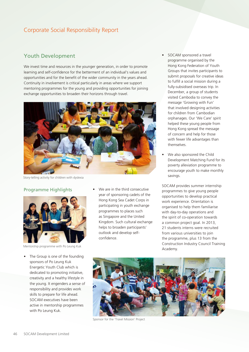### Youth Development

We invest time and resources in the younger generation, in order to promote learning and self-confidence for the betterment of an individual's values and opportunities and for the benefit of the wider community in the years ahead. Continuity in involvement is critical particularly in areas where we support mentoring programmes for the young and providing opportunities for joining exchange opportunities to broaden their horizons through travel.



Story-telling activity for children with dyslexia

#### Programme Highlights



Mentorship programme with Po Leung Kuk

- The Group is one of the founding sponsors of Po Leung Kuk Energetic Youth Club which is dedicated to promoting initiative, creativity and a healthy lifestyle in the young. It engenders a sense of responsibility and provides work skills to prepare for life ahead. SOCAM executives have been active in mentorship programmes with Po Leung Kuk.
- We are in the third consecutive year of sponsoring cadets of the Hong Kong Sea Cadet Corps in participating in youth exchange programmes to places such as Singapore and the United Kingdom. Such cultural exchange helps to broaden participants' outlook and develop selfconfidence.
- SOCAM sponsored a travel programme organised by the Hong Kong Federation of Youth Groups that invites participants to submit proposals for creative ideas to fulfill a social mission during a fully-subsidised overseas trip. In December, a group of students visited Cambodia to convey the message 'Growing with Fun' that involved designing activities for children from Cambodian orphanages. Our 'We Care' spirit helped these young people from Hong Kong spread the message of concern and help for those with fewer life advantages than themselves.
- We also sponsored the Child Development Matching Fund for its poverty alleviation programme to encourage youth to make monthly savings.

SOCAM provides summer internship programmes to give young people opportunities to develop practical work experience. Orientation is organised to help them familiarise with day-to-day operations and the spirit of co-operation towards a common project goal. In 2013, 21 students interns were recruited from various universities to join the programme, plus 13 from the Construction Industry Council Training Academy.



Sponsor for the 'Travel Mission' Project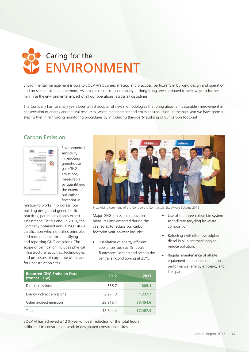

Environmental management is core to SOCAM's business strategy and practices, particularly in building design and operation and on-site construction methods. As a major construction company in Hong Kong, we continued to seek ways to further minimise the environmental impact of all our operations, across all disciplines.

The Company has for many years been a first adopter of new methodologies that bring about a measurable improvement in conservation of energy and natural resources, waste management and emissions reduction. In the past year we have gone a step further in reinforcing monitoring procedures by introducing third-party auditing of our carbon footprint.

# Carbon Emission



Environmental sensitivity in reducing greenhouse gas (GHG) emissions, measurable by quantifying the extent of our carbon footprint in

relation to works in progress, our building design and general office practices, particularly needs expert assessment. To this end, in 2013, the Company obtained annual ISO 14064 certification which specifies principles and requirements for quantifying and reporting GHG emissions. The scope of verification includes physical infrastructure, activities, technologies and processes of corporate office and four construction sites.



Major GHG emissions reduction measures implemented during the year so as to reduce our carbon footprint year-on-year include:

- Installation of energy efficient appliances such as T5 tubular fluorescent lighting and setting the central air-conditioning at 25°C. Prize-giving ceremony of the Considerate Contractors Site Award Scheme 2012<br>
Major GHG emissions reduction<br>
measures implemented during the<br>
year so as to reduce our carbon<br>
footprint year-on-year include:<br>
• Installation
	- Use of the three-colour bin system to facilitate recycling by waste composition.
	- Refueling with ultra-low sulphur diesel in all plant machinery to reduce pollution.
	- Regular maintenance of all site equipment to enhance operation performance, energy efficiency and life span.

| <b>Reported GHG Emission Data</b><br>(tonnes CO <sub>2</sub> e) | 2012     | 2013     |
|-----------------------------------------------------------------|----------|----------|
| Direct emissions                                                | 656.7    | 805.1    |
| Energy indirect emissions                                       | 2,271.3  | 1,237.7  |
| Other indirect emission                                         | 39.916.4 | 35,454.6 |
| Total                                                           | 42.844.4 | 37,497.4 |

SOCAM has achieved a 12% year-on-year reduction of the total figure calibrated to construction work in designated construction sites.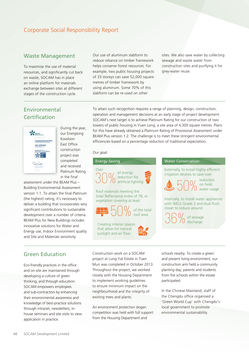#### Waste Management

To maximise the use of material resources, and significantly cut back on waste, SOCAM has in place an online platform for materials exchange between sites at different stages of the construction cycle.

Our use of aluminum slabform to reduce reliance on timber framework helps conserve forest resources. For example, two public housing projects of 33 storeys can save 52,000 square metres of timber framework by using aluminum. Some 70% of this slabform can be re-used on other

sites. We also save water by collecting sewage and waste water from construction sites and purifying it for grey-water reuse.

# Environmental **Certification**



During the year, our Energising Kowloon East Office construction project was completed and received Platinum Rating in the final

assessment under the BEAM Plus – Building Environmental Assessment version 1.1. To attain the final Platinum (the highest) rating, it's necessary to deliver a building that incorporates very significant contributions to sustainable development over a number of criteria. BEAM Plus for New Buildings includes innovative solutions for Water and Energy use, Indoor Environment quality and Site and Materials sensitivity.

To attain such recognition requires a range of planning, design, construction, operation and management decisions at an early stage of project development. SOCAM's next target is to achieve Platinum Rating for our construction of two towers of public housing in Yuen Long, a site area of 4,300 square metres. Plans for this have already obtained a Platinum Rating of Provisional Assessment under BEAM Plus version 1.2. The challenge is to meet these stringent environmental efficiencies based on a percentage reduction of traditional expectation.

#### Our goal:



# Green Education

Eco-friendly practices in the office and on-site are maintained through developing a culture of green thinking, and through education. SOCAM empowers employees and sub-contractors by enhancing their environmental awareness and knowledge of best-practice solutions through intranet, newsletters, inhouse seminars and site visits to view application in practice.

Construction work on a SOCAM project at Lung Yat Estate in Tuen Mun was completed in October 2013. Throughout the project, we worked closely with the Housing Department to implement working guidelines to ensure minimum impact on the neighbourhood and the integrity of existing trees and plants.

An environment protection slogan competition was held with full support from the Housing Department and

schools nearby. To create a green and present living environment, our construction arm held a community planting day; parents and students from the schools within the estate participated.

In the Chinese Mainland, staff of the Chengdu office organised a 'Green World Cup' with Chengdu's local government to promote environmental sustainability.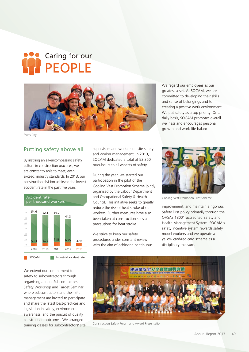# Caring for our PEOPLE



Fruits Day

Accident rate

### Putting safety above all

By instiling an all-encompassing safety culture in construction practices, we are constantly able to meet, even exceed, industry standards. In 2013, our construction division achieved the lowest accident rate in the past five years.



We extend our commitment to safety to subcontractors through organising annual Subcontractors' Safety Workshop and Target Seminar where subcontractors and their site management are invited to participate and share the latest best-practices and legislation in safety, environmental awareness, and the pursuit of quality construction outcomes. We arranged training classes for subcontractors' site supervisors and workers on site safety and worker management. In 2013, SOCAM dedicated a total of 53,360 man-hours to all aspects of safety.

During the year, we started our participation in the pilot of the Cooling Vest Promotion Scheme jointly organised by the Labour Department and Occupational Safety & Health Council. This initiative seeks to greatly reduce the risk of heat stroke of our workers. Further measures have also been taken at construction sites as precautions for heat stroke.

We strive to keep our safety procedures under constant review with the aim of achieving continuous We regard our employees as our greatest asset. At SOCAM, we are committed to developing their skills and sense of belongings and to creating a positive work environment. We put safety as a top priority. On a daily basis, SOCAM promotes overall wellness and encourages personal growth and work-life balance.



Cooling Vest Promotion Pilot Scheme

improvement, and maintain a rigorous Safety First policy primarily through the OHSAS 18001 accredited Safety and Health Management System. SOCAM's safety incentive system rewards safety model workers and we operate a yellow card/red card scheme as a disciplinary measure.



Construction Safety Forum and Award Presentation